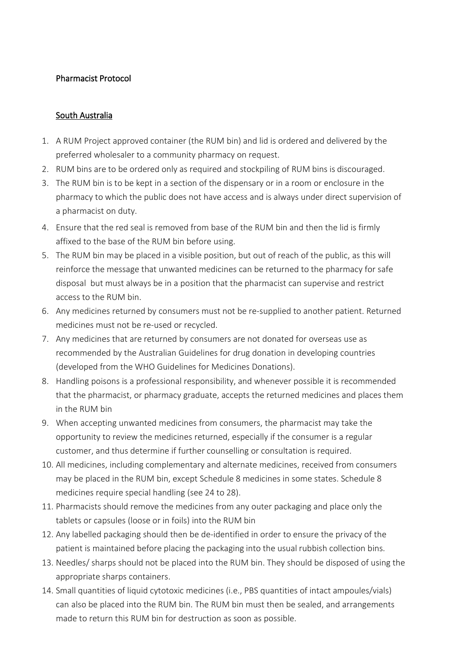## Pharmacist Protocol

## South Australia

- 1. A RUM Project approved container (the RUM bin) and lid is ordered and delivered by the preferred wholesaler to a community pharmacy on request.
- 2. RUM bins are to be ordered only as required and stockpiling of RUM bins is discouraged.
- 3. The RUM bin is to be kept in a section of the dispensary or in a room or enclosure in the pharmacy to which the public does not have access and is always under direct supervision of a pharmacist on duty.
- 4. Ensure that the red seal is removed from base of the RUM bin and then the lid is firmly affixed to the base of the RUM bin before using.
- 5. The RUM bin may be placed in a visible position, but out of reach of the public, as this will reinforce the message that unwanted medicines can be returned to the pharmacy for safe disposal but must always be in a position that the pharmacist can supervise and restrict access to the RUM bin.
- 6. Any medicines returned by consumers must not be re-supplied to another patient. Returned medicines must not be re-used or recycled.
- 7. Any medicines that are returned by consumers are not donated for overseas use as recommended by the Australian Guidelines for drug donation in developing countries (developed from the WHO Guidelines for Medicines Donations).
- 8. Handling poisons is a professional responsibility, and whenever possible it is recommended that the pharmacist, or pharmacy graduate, accepts the returned medicines and places them in the RUM bin
- 9. When accepting unwanted medicines from consumers, the pharmacist may take the opportunity to review the medicines returned, especially if the consumer is a regular customer, and thus determine if further counselling or consultation is required.
- 10. All medicines, including complementary and alternate medicines, received from consumers may be placed in the RUM bin, except Schedule 8 medicines in some states. Schedule 8 medicines require special handling (see 24 to 28).
- 11. Pharmacists should remove the medicines from any outer packaging and place only the tablets or capsules (loose or in foils) into the RUM bin
- 12. Any labelled packaging should then be de-identified in order to ensure the privacy of the patient is maintained before placing the packaging into the usual rubbish collection bins.
- 13. Needles/ sharps should not be placed into the RUM bin. They should be disposed of using the appropriate sharps containers.
- 14. Small quantities of liquid cytotoxic medicines (i.e., PBS quantities of intact ampoules/vials) can also be placed into the RUM bin. The RUM bin must then be sealed, and arrangements made to return this RUM bin for destruction as soon as possible.